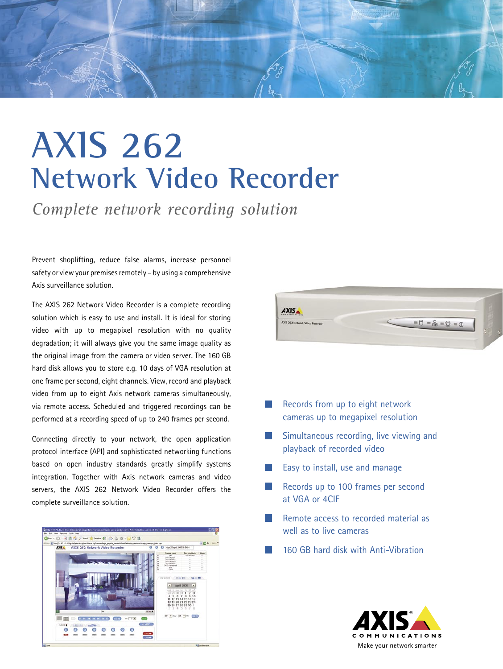

## **AXIS 262 Network Video Recorder**

*Complete network recording solution*

Prevent shoplifting, reduce false alarms, increase personnel safety or view your premises remotely – by using a comprehensive Axis surveillance solution.

The AXIS 262 Network Video Recorder is a complete recording solution which is easy to use and install. It is ideal for storing video with up to megapixel resolution with no quality degradation; it will always give you the same image quality as the original image from the camera or video server. The 160 GB hard disk allows you to store e.g. 10 days of VGA resolution at one frame per second, eight channels. View, record and playback video from up to eight Axis network cameras simultaneously, via remote access. Scheduled and triggered recordings can be performed at a recording speed of up to 240 frames per second.

Connecting directly to your network, the open application protocol interface (API) and sophisticated networking functions based on open industry standards greatly simplify systems integration. Together with Axis network cameras and video servers, the AXIS 262 Network Video Recorder offers the complete surveillance solution.





- **Records from up to eight network** cameras up to megapixel resolution
- Simultaneous recording, live viewing and playback of recorded video
- Easy to install, use and manage
- Records up to 100 frames per second at VGA or 4CIF
- Remote access to recorded material as well as to live cameras
- 160 GB hard disk with Anti-Vibration